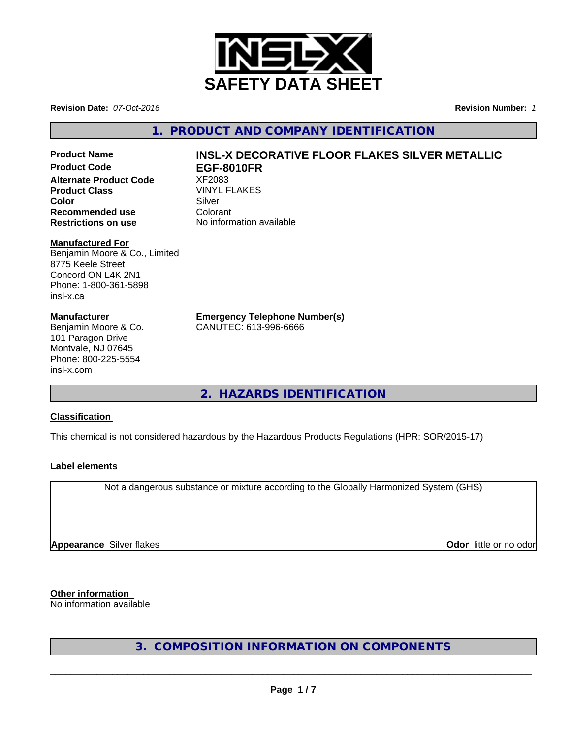

**Revision Date:** *07-Oct-2016* **Revision Number:** *1*

**1. PRODUCT AND COMPANY IDENTIFICATION**

**Product Code EGF-8010FR Alternate Product Code 8 XF2083**<br>**Product Class** WINYL FLAKES **Product Class** VINYL<br> **Color** Silver **Color** Silver Silver **Recommended use** Colorant<br> **Restrictions on use** No inform

### **Manufactured For**

Benjamin Moore & Co., Limited 8775 Keele Street Concord ON L4K 2N1 Phone: 1-800-361-5898 insl-x.ca

### **Manufacturer**

Benjamin Moore & Co. 101 Paragon Drive Montvale, NJ 07645 Phone: 800-225-5554 insl-x.com

# **Product Name INSL-X DECORATIVE FLOOR FLAKES SILVER METALLIC**

**Restrictions on use** No information available

**Emergency Telephone Number(s)**

CANUTEC: 613-996-6666

**2. HAZARDS IDENTIFICATION**

### **Classification**

This chemical is not considered hazardous by the Hazardous Products Regulations (HPR: SOR/2015-17)

### **Label elements**

Not a dangerous substance or mixture according to the Globally Harmonized System (GHS)

**Appearance** Silver flakes **Odor in the set of the set of the set of the set of the set of the set of the set of the set of the set of the set of the set of the set of the set of the set of the set of the set of the set of** 

**Other information**

No information available

**3. COMPOSITION INFORMATION ON COMPONENTS**

 $\overline{\phantom{a}}$  ,  $\overline{\phantom{a}}$  ,  $\overline{\phantom{a}}$  ,  $\overline{\phantom{a}}$  ,  $\overline{\phantom{a}}$  ,  $\overline{\phantom{a}}$  ,  $\overline{\phantom{a}}$  ,  $\overline{\phantom{a}}$  ,  $\overline{\phantom{a}}$  ,  $\overline{\phantom{a}}$  ,  $\overline{\phantom{a}}$  ,  $\overline{\phantom{a}}$  ,  $\overline{\phantom{a}}$  ,  $\overline{\phantom{a}}$  ,  $\overline{\phantom{a}}$  ,  $\overline{\phantom{a}}$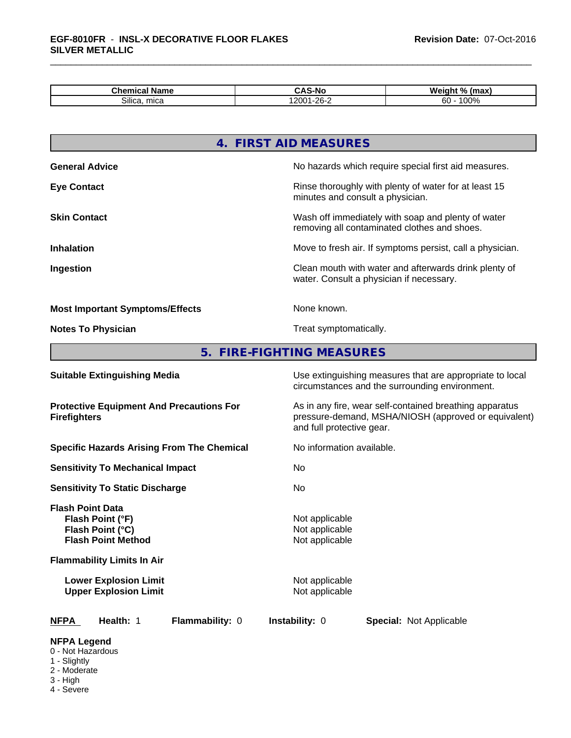| nor <sup>-</sup><br>Name<br>Chemical | -Nc<br>. .<br>ື<br>                                 | . .<br>$^{\circ}$<br><b>Welgin</b><br>(max)<br>. |
|--------------------------------------|-----------------------------------------------------|--------------------------------------------------|
| $\sim \cdots$<br>mica<br>Silica.     | $\mathbf{a} \mathbf{a} \mathbf{b}$<br>$\sim$<br>-v· | $\sim$ $\sim$<br>$\sim$<br>ou<br>ו טש            |

|                                                                                              | 4. FIRST AID MEASURES                                                                                                                        |  |  |
|----------------------------------------------------------------------------------------------|----------------------------------------------------------------------------------------------------------------------------------------------|--|--|
| <b>General Advice</b>                                                                        | No hazards which require special first aid measures.                                                                                         |  |  |
| <b>Eye Contact</b>                                                                           | Rinse thoroughly with plenty of water for at least 15<br>minutes and consult a physician.                                                    |  |  |
| <b>Skin Contact</b>                                                                          | Wash off immediately with soap and plenty of water<br>removing all contaminated clothes and shoes.                                           |  |  |
| <b>Inhalation</b>                                                                            | Move to fresh air. If symptoms persist, call a physician.                                                                                    |  |  |
| Ingestion                                                                                    | Clean mouth with water and afterwards drink plenty of<br>water. Consult a physician if necessary.                                            |  |  |
| <b>Most Important Symptoms/Effects</b>                                                       | None known.                                                                                                                                  |  |  |
| <b>Notes To Physician</b>                                                                    | Treat symptomatically.                                                                                                                       |  |  |
| 5 <sub>1</sub>                                                                               | <b>FIRE-FIGHTING MEASURES</b>                                                                                                                |  |  |
| <b>Suitable Extinguishing Media</b>                                                          | Use extinguishing measures that are appropriate to local<br>circumstances and the surrounding environment.                                   |  |  |
| <b>Protective Equipment And Precautions For</b><br><b>Firefighters</b>                       | As in any fire, wear self-contained breathing apparatus<br>pressure-demand, MSHA/NIOSH (approved or equivalent)<br>and full protective gear. |  |  |
| <b>Specific Hazards Arising From The Chemical</b>                                            | No information available.                                                                                                                    |  |  |
| <b>Sensitivity To Mechanical Impact</b>                                                      | No                                                                                                                                           |  |  |
| <b>Sensitivity To Static Discharge</b>                                                       | No                                                                                                                                           |  |  |
| <b>Flash Point Data</b><br>Flash Point (°F)<br>Flash Point (°C)<br><b>Flash Point Method</b> | Not applicable<br>Not applicable<br>Not applicable                                                                                           |  |  |
| <b>Flammability Limits In Air</b>                                                            |                                                                                                                                              |  |  |
|                                                                                              |                                                                                                                                              |  |  |

**Lower Explosion Limit** Not applicable Not applicable Not applicable Not applicable Not applicable Not applicable Not applicable Not applicable Not applicable Not applicable Not applicable Not applicable Not applicable Not **Upper Explosion Limit** Not applicable Not applicable Not applicable Not applicable Not applicable Not applicable Not applicable Not applicable Not applicable Not applicable Not applicable Not applicable Not applicable Not

| <b>NFPA</b><br>Health: 1 |  | Flar |
|--------------------------|--|------|
|--------------------------|--|------|

**nmability: 0 Instability: 0 Special: Not Applicable** 

### **NFPA Legend**

0 - Not Hazardous

- 1 Slightly
- 2 Moderate
- 3 High
- 4 Severe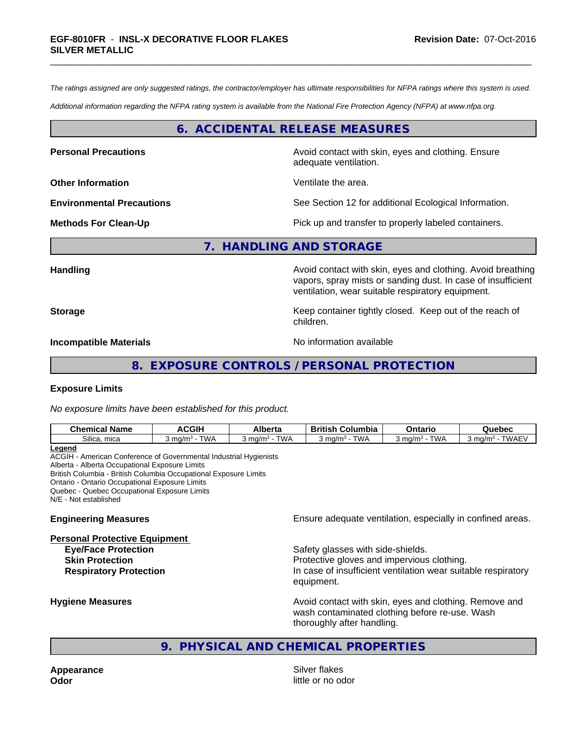*The ratings assigned are only suggested ratings, the contractor/employer has ultimate responsibilities for NFPA ratings where this system is used.*

*Additional information regarding the NFPA rating system is available from the National Fire Protection Agency (NFPA) at www.nfpa.org.*

### **6. ACCIDENTAL RELEASE MEASURES**

**Personal Precautions Avoid contact with skin, eyes and clothing. Ensure** Avoid contact with skin, eyes and clothing. Ensure

**Other Information** Ventilate the area.

adequate ventilation.

**Environmental Precautions** See Section 12 for additional Ecological Information.

**Methods For Clean-Up Pick up and transfer to properly labeled containers.** 

### **7. HANDLING AND STORAGE**

**Handling Handling Avoid contact with skin, eyes and clothing. Avoid breathing** vapors, spray mists or sanding dust. In case of insufficient ventilation, wear suitable respiratory equipment.

**Storage Keep container tightly closed. Keep out of the reach of Keep** container tightly closed. Keep out of the reach of children.

**Incompatible Materials No information available No information available** 

### **8. EXPOSURE CONTROLS / PERSONAL PROTECTION**

### **Exposure Limits**

*No exposure limits have been established for this product.*

| <b>Chemical Name</b>      | <b>ACGIH</b>          | Alberta                           | .<br>Columbia<br><b>British</b>        | Ontaric               | Quebec                              |
|---------------------------|-----------------------|-----------------------------------|----------------------------------------|-----------------------|-------------------------------------|
| $\sim$<br>Silica.<br>mica | <b>TWA</b><br>. ma/m∛ | <b>TWA</b><br>3 ma/m <sup>3</sup> | <b>TWA</b><br>` ma/m <sup>3</sup><br>ີ | <b>TWA</b><br>` ma/m∘ | <b>TWAEV</b><br>3 ma/m <sup>3</sup> |
| ∟egend                    |                       |                                   |                                        |                       |                                     |

ACGIH - American Conference of Governmental Industrial Hygienists Alberta - Alberta Occupational Exposure Limits British Columbia - British Columbia Occupational Exposure Limits Ontario - Ontario Occupational Exposure Limits Quebec - Quebec Occupational Exposure Limits N/E - Not established

#### **Personal Protective Equipment**

**Engineering Measures Ensure** Ensure adequate ventilation, especially in confined areas.

**Eye/Face Protection** Safety glasses with side-shields. **Skin Protection Protection Protective gloves and impervious clothing. Respiratory Protection In case of insufficient ventilation wear suitable respiratory** equipment.

**Hygiene Measures Avoid contact with skin, eyes and clothing. Remove and Avoid contact with skin, eyes and clothing. Remove and Avoid contact with skin, eyes and clothing. Remove and** wash contaminated clothing before re-use. Wash thoroughly after handling.

### **9. PHYSICAL AND CHEMICAL PROPERTIES**

**Appearance** Silver flakes

**Odor** little or no odor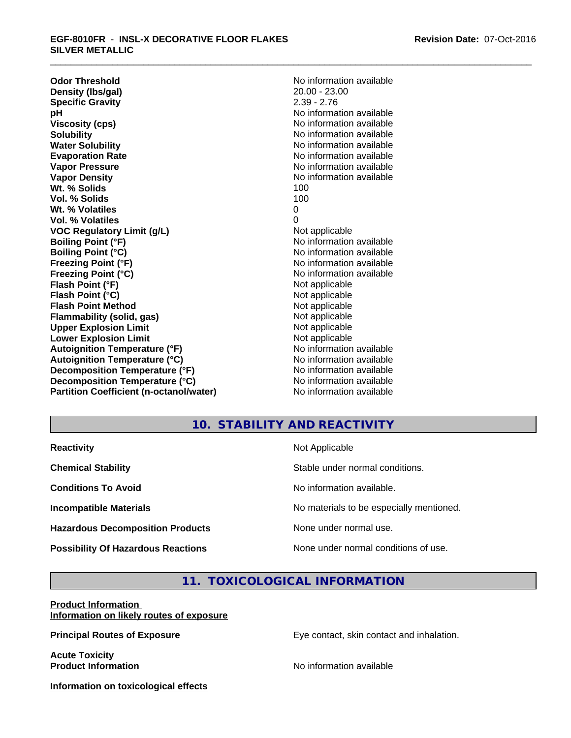**Odor Threshold**<br> **Density (Ibs/gal)**<br> **Density (Ibs/gal)**<br>
20.00 - 23.00 **Density (Ibs/gal)** 20.00 - 23.00<br> **Specific Gravity** 2.39 - 2.76 **Specific Gravity pH** No information available **Viscosity (cps)** No information available Notice 1, 1999 **Solubility Note 2008 Note 2008 Note 2008 Note 2008 Note 2008 Note 2008 Note 2008 Note 2008 Note 2008 Note 2008 Note 2008 Note 2008 Note 2008 Note 2008 Note 2008 Note 2008 Note 2008 Note Water Solubility No information available No information available Evaporation Rate No information available No information available Vapor Pressure** No information available No information available **Vapor Density No information available No information available Wt. % Solids** 100 **Vol. % Solids** 100 **Wt. % Volatiles** 0 **Vol. % Volatiles** 0 **VOC** Regulatory Limit (g/L) Not applicable **Boiling Point (°F) Boiling Point (°F)** No information available **Boiling Point (°C)** No information available **Freezing Point (°F)** No information available **Freezing Point (°C)** No information available **Flash Point (°F)** Not applicable **Flash Point (°C)** Not applicable **Flash Point Method**<br> **Flammability (solid, gas)**<br>
Not applicable<br>
Not applicable **Flammability** (solid, gas) **Upper Explosion Limit**<br> **Lower Explosion Limit**<br> **Lower Explosion Limit Lower Explosion Limit**<br> **Autoignition Temperature (°F)**<br> **Autoignition Temperature (°F)**<br> **Autoignition Temperature (°F)**<br> **Autoignition Temperature (°F) Autoignition Temperature (°F) Autoignition Temperature (°C)** No information available **Decomposition Temperature (°F)** No information available **Decomposition Temperature (°C)** No information available **Partition Coefficient (n-octanol/water)** No information available

## **10. STABILITY AND REACTIVITY**

| <b>Reactivity</b>                         | Not Applicable                           |
|-------------------------------------------|------------------------------------------|
| <b>Chemical Stability</b>                 | Stable under normal conditions.          |
| <b>Conditions To Avoid</b>                | No information available.                |
| <b>Incompatible Materials</b>             | No materials to be especially mentioned. |
| <b>Hazardous Decomposition Products</b>   | None under normal use.                   |
| <b>Possibility Of Hazardous Reactions</b> | None under normal conditions of use.     |

### **11. TOXICOLOGICAL INFORMATION**

### **Product Information Information on likely routes of exposure**

**Principal Routes of Exposure Exposure** Eye contact, skin contact and inhalation.

**Acute Toxicity Product Information Product Information** 

**Information on toxicological effects**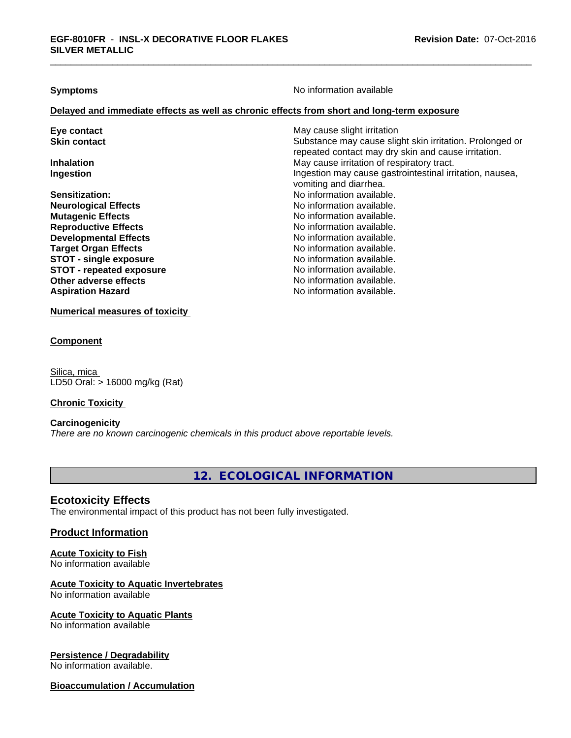**Symptoms** No information available

### **Delayed and immediate effects as well as chronic effects from short and long-term exposure**

| Eye contact                   | May cause slight irritation                              |
|-------------------------------|----------------------------------------------------------|
| <b>Skin contact</b>           | Substance may cause slight skin irritation. Prolonged or |
|                               | repeated contact may dry skin and cause irritation.      |
| <b>Inhalation</b>             | May cause irritation of respiratory tract.               |
| Ingestion                     | Ingestion may cause gastrointestinal irritation, nausea, |
|                               | vomiting and diarrhea.                                   |
| <b>Sensitization:</b>         | No information available.                                |
| <b>Neurological Effects</b>   | No information available.                                |
| <b>Mutagenic Effects</b>      | No information available.                                |
| <b>Reproductive Effects</b>   | No information available.                                |
| <b>Developmental Effects</b>  | No information available.                                |
| <b>Target Organ Effects</b>   | No information available.                                |
| <b>STOT - single exposure</b> | No information available.                                |
| STOT - repeated exposure      | No information available.                                |
| Other adverse effects         | No information available.                                |
| <b>Aspiration Hazard</b>      | No information available.                                |

**Numerical measures of toxicity**

### **Component**

Silica, mica LD50 Oral: > 16000 mg/kg (Rat)

### **Chronic Toxicity**

### **Carcinogenicity**

*There are no known carcinogenic chemicals in this product above reportable levels.*

**12. ECOLOGICAL INFORMATION**

### **Ecotoxicity Effects**

The environmental impact of this product has not been fully investigated.

### **Product Information**

# **Acute Toxicity to Fish**

No information available

## **Acute Toxicity to Aquatic Invertebrates**

No information available

### **Acute Toxicity to Aquatic Plants**

No information available

### **Persistence / Degradability**

No information available.

### **Bioaccumulation / Accumulation**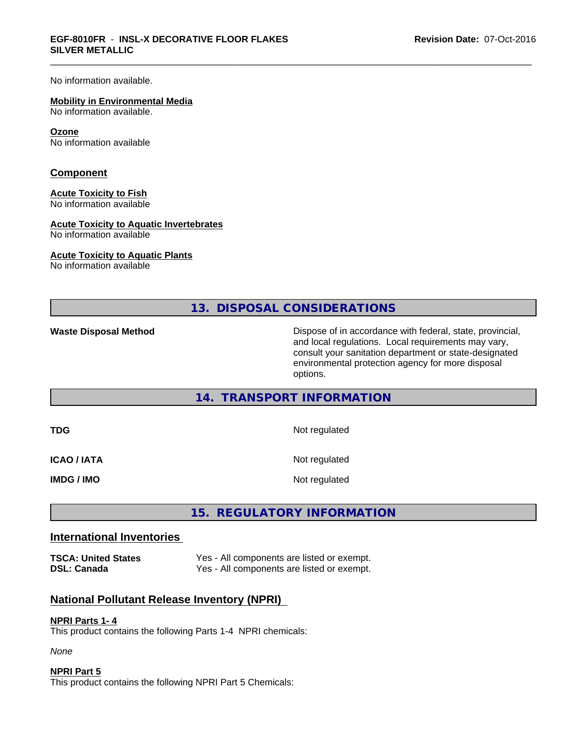No information available.

#### **Mobility in Environmental Media**

No information available.

#### **Ozone**

No information available

### **Component**

### **Acute Toxicity to Fish**

No information available

### **Acute Toxicity to Aquatic Invertebrates**

No information available

#### **Acute Toxicity to Aquatic Plants**

No information available

**13. DISPOSAL CONSIDERATIONS**

**Waste Disposal Method Dispose of in accordance with federal, state, provincial,** and local regulations. Local requirements may vary, consult your sanitation department or state-designated environmental protection agency for more disposal options.

### **14. TRANSPORT INFORMATION**

| TDG         | Not regulated |
|-------------|---------------|
| ICAO / IATA | Not regulated |
| IMDG / IMO  | Not regulated |

## **15. REGULATORY INFORMATION**

### **International Inventories**

**TSCA: United States** Yes - All components are listed or exempt. **DSL: Canada** Yes - All components are listed or exempt.

### **National Pollutant Release Inventory (NPRI)**

### **NPRI Parts 1- 4**

This product contains the following Parts 1-4 NPRI chemicals:

*None*

### **NPRI Part 5**

This product contains the following NPRI Part 5 Chemicals: